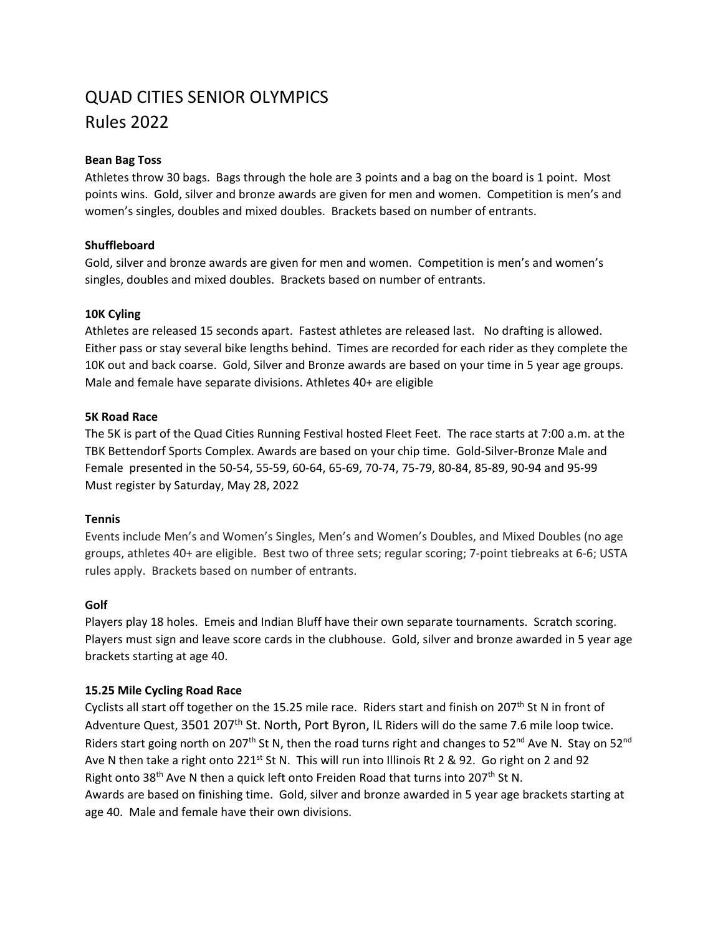# QUAD CITIES SENIOR OLYMPICS Rules 2022

## **Bean Bag Toss**

Athletes throw 30 bags. Bags through the hole are 3 points and a bag on the board is 1 point. Most points wins. Gold, silver and bronze awards are given for men and women. Competition is men's and women's singles, doubles and mixed doubles. Brackets based on number of entrants.

# **Shuffleboard**

Gold, silver and bronze awards are given for men and women. Competition is men's and women's singles, doubles and mixed doubles. Brackets based on number of entrants.

# **10K Cyling**

Athletes are released 15 seconds apart. Fastest athletes are released last. No drafting is allowed. Either pass or stay several bike lengths behind. Times are recorded for each rider as they complete the 10K out and back coarse. Gold, Silver and Bronze awards are based on your time in 5 year age groups. Male and female have separate divisions. Athletes 40+ are eligible

# **5K Road Race**

The 5K is part of the Quad Cities Running Festival hosted Fleet Feet. The race starts at 7:00 a.m. at the TBK Bettendorf Sports Complex. Awards are based on your chip time. Gold-Silver-Bronze Male and Female presented in the 50-54, 55-59, 60-64, 65-69, 70-74, 75-79, 80-84, 85-89, 90-94 and 95-99 Must register by Saturday, May 28, 2022

## **Tennis**

Events include Men's and Women's Singles, Men's and Women's Doubles, and Mixed Doubles (no age groups, athletes 40+ are eligible. Best two of three sets; regular scoring; 7-point tiebreaks at 6-6; USTA rules apply. Brackets based on number of entrants.

## **Golf**

Players play 18 holes. Emeis and Indian Bluff have their own separate tournaments. Scratch scoring. Players must sign and leave score cards in the clubhouse. Gold, silver and bronze awarded in 5 year age brackets starting at age 40.

## **15.25 Mile Cycling Road Race**

Cyclists all start off together on the 15.25 mile race. Riders start and finish on 207<sup>th</sup> St N in front of Adventure Quest, 3501 207<sup>th</sup> St. North, Port Byron, IL Riders will do the same 7.6 mile loop twice. Riders start going north on 207<sup>th</sup> St N, then the road turns right and changes to 52<sup>nd</sup> Ave N. Stay on 52<sup>nd</sup> Ave N then take a right onto 221<sup>st</sup> St N. This will run into Illinois Rt 2 & 92. Go right on 2 and 92 Right onto 38<sup>th</sup> Ave N then a quick left onto Freiden Road that turns into 207<sup>th</sup> St N. Awards are based on finishing time. Gold, silver and bronze awarded in 5 year age brackets starting at age 40. Male and female have their own divisions.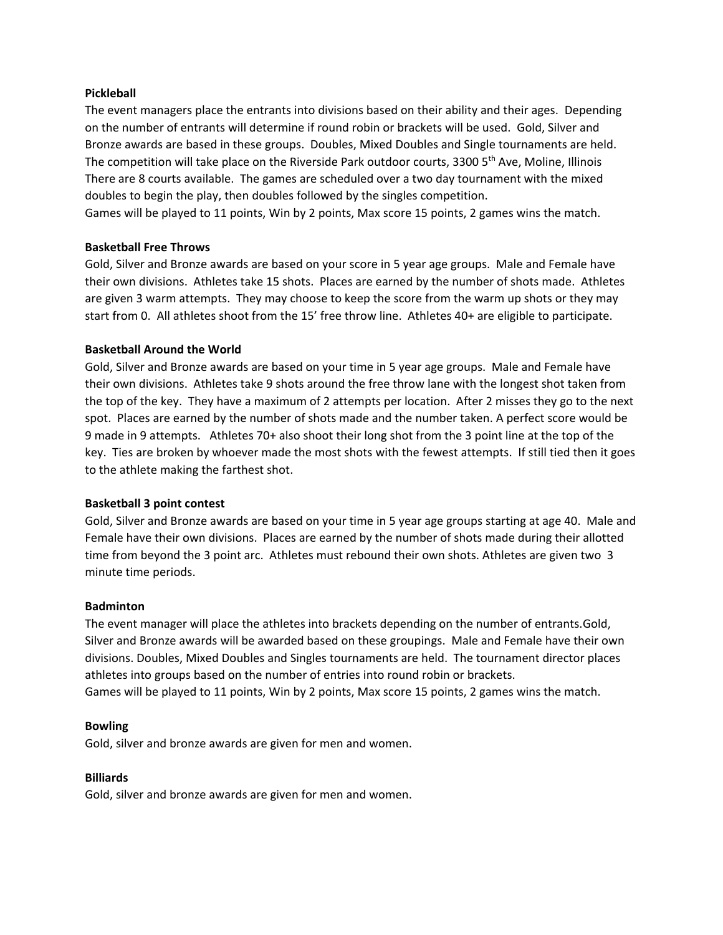## **Pickleball**

The event managers place the entrants into divisions based on their ability and their ages. Depending on the number of entrants will determine if round robin or brackets will be used. Gold, Silver and Bronze awards are based in these groups. Doubles, Mixed Doubles and Single tournaments are held. The competition will take place on the Riverside Park outdoor courts, 3300 5<sup>th</sup> Ave, Moline, Illinois There are 8 courts available. The games are scheduled over a two day tournament with the mixed doubles to begin the play, then doubles followed by the singles competition.

Games will be played to 11 points, Win by 2 points, Max score 15 points, 2 games wins the match.

## **Basketball Free Throws**

Gold, Silver and Bronze awards are based on your score in 5 year age groups. Male and Female have their own divisions. Athletes take 15 shots. Places are earned by the number of shots made. Athletes are given 3 warm attempts. They may choose to keep the score from the warm up shots or they may start from 0. All athletes shoot from the 15' free throw line. Athletes 40+ are eligible to participate.

## **Basketball Around the World**

Gold, Silver and Bronze awards are based on your time in 5 year age groups. Male and Female have their own divisions. Athletes take 9 shots around the free throw lane with the longest shot taken from the top of the key. They have a maximum of 2 attempts per location. After 2 misses they go to the next spot. Places are earned by the number of shots made and the number taken. A perfect score would be 9 made in 9 attempts. Athletes 70+ also shoot their long shot from the 3 point line at the top of the key. Ties are broken by whoever made the most shots with the fewest attempts. If still tied then it goes to the athlete making the farthest shot.

#### **Basketball 3 point contest**

Gold, Silver and Bronze awards are based on your time in 5 year age groups starting at age 40. Male and Female have their own divisions. Places are earned by the number of shots made during their allotted time from beyond the 3 point arc. Athletes must rebound their own shots. Athletes are given two 3 minute time periods.

#### **Badminton**

The event manager will place the athletes into brackets depending on the number of entrants.Gold, Silver and Bronze awards will be awarded based on these groupings. Male and Female have their own divisions. Doubles, Mixed Doubles and Singles tournaments are held. The tournament director places athletes into groups based on the number of entries into round robin or brackets. Games will be played to 11 points, Win by 2 points, Max score 15 points, 2 games wins the match.

#### **Bowling**

Gold, silver and bronze awards are given for men and women.

#### **Billiards**

Gold, silver and bronze awards are given for men and women.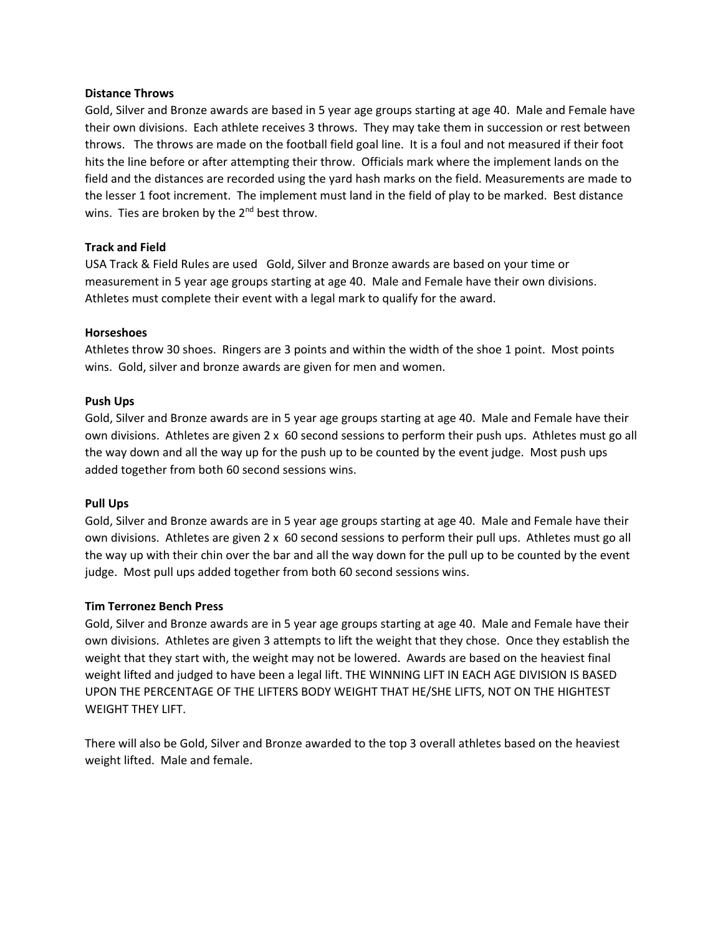#### **Distance Throws**

Gold, Silver and Bronze awards are based in 5 year age groups starting at age 40. Male and Female have their own divisions. Each athlete receives 3 throws. They may take them in succession or rest between throws. The throws are made on the football field goal line. It is a foul and not measured if their foot hits the line before or after attempting their throw. Officials mark where the implement lands on the field and the distances are recorded using the yard hash marks on the field. Measurements are made to the lesser 1 foot increment. The implement must land in the field of play to be marked. Best distance wins. Ties are broken by the  $2^{nd}$  best throw.

## **Track and Field**

USA Track & Field Rules are used Gold, Silver and Bronze awards are based on your time or measurement in 5 year age groups starting at age 40. Male and Female have their own divisions. Athletes must complete their event with a legal mark to qualify for the award.

## **Horseshoes**

Athletes throw 30 shoes. Ringers are 3 points and within the width of the shoe 1 point. Most points wins. Gold, silver and bronze awards are given for men and women.

## **Push Ups**

Gold, Silver and Bronze awards are in 5 year age groups starting at age 40. Male and Female have their own divisions. Athletes are given 2 x 60 second sessions to perform their push ups. Athletes must go all the way down and all the way up for the push up to be counted by the event judge. Most push ups added together from both 60 second sessions wins.

## **Pull Ups**

Gold, Silver and Bronze awards are in 5 year age groups starting at age 40. Male and Female have their own divisions. Athletes are given 2 x 60 second sessions to perform their pull ups. Athletes must go all the way up with their chin over the bar and all the way down for the pull up to be counted by the event judge. Most pull ups added together from both 60 second sessions wins.

## **Tim Terronez Bench Press**

Gold, Silver and Bronze awards are in 5 year age groups starting at age 40. Male and Female have their own divisions. Athletes are given 3 attempts to lift the weight that they chose. Once they establish the weight that they start with, the weight may not be lowered. Awards are based on the heaviest final weight lifted and judged to have been a legal lift. THE WINNING LIFT IN EACH AGE DIVISION IS BASED UPON THE PERCENTAGE OF THE LIFTERS BODY WEIGHT THAT HE/SHE LIFTS, NOT ON THE HIGHTEST WEIGHT THEY LIFT.

There will also be Gold, Silver and Bronze awarded to the top 3 overall athletes based on the heaviest weight lifted. Male and female.